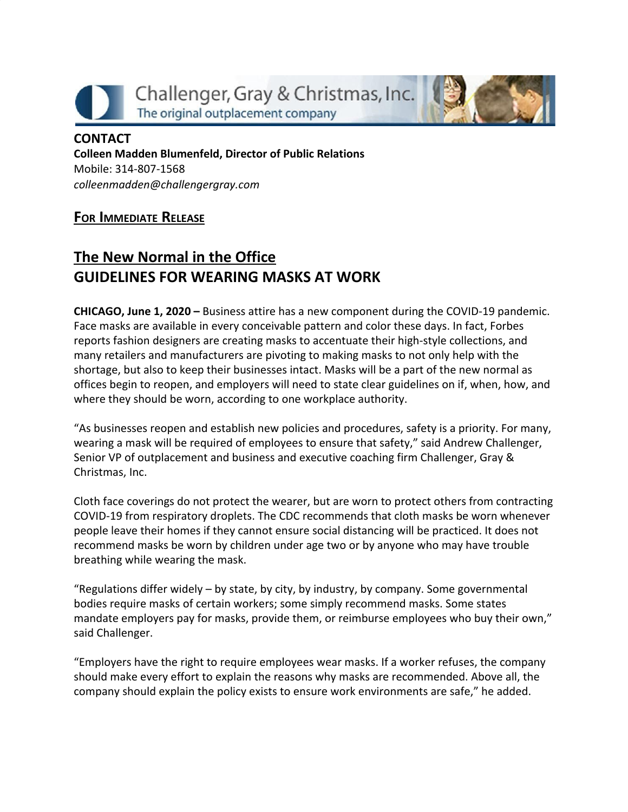Challenger, Gray & Christmas, Inc. The original outplacement company



## **CONTACT Colleen Madden Blumenfeld, Director of Public Relations** Mobile: 314-807-1568 *[colleenmadden@challengergray.com](mailto:colleenmadden@challengergray.com)*

## **FOR IMMEDIATE RELEASE**

## **The New Normal in the Office GUIDELINES FOR WEARING MASKS AT WORK**

**CHICAGO, June 1, 2020 –** Business attire has a new component during the COVID-19 pandemic. Face masks are available in every conceivable pattern and color these days. In fact, Forbes reports fashion designers are creating masks to accentuate their high-style collections, and many retailers and manufacturers are pivoting to making masks to not only help with the shortage, but also to keep their businesses intact. Masks will be a part of the new normal as offices begin to reopen, and employers will need to state clear guidelines on if, when, how, and where they should be worn, according to one workplace authority.

"As businesses reopen and establish new policies and procedures, safety is a priority. For many, wearing a mask will be required of employees to ensure that safety," said Andrew Challenger, Senior VP of outplacement and business and executive coaching firm Challenger, Gray & Christmas, Inc.

Cloth face coverings do not protect the wearer, but are worn to protect others from contracting COVID-19 from respiratory droplets. The CDC recommends that cloth masks be worn whenever people leave their homes if they cannot ensure social distancing will be practiced. It does not recommend masks be worn by children under age two or by anyone who may have trouble breathing while wearing the mask.

"Regulations differ widely – by state, by city, by industry, by company. Some governmental bodies require masks of certain workers; some simply recommend masks. Some states mandate employers pay for masks, provide them, or reimburse employees who buy their own," said Challenger.

"Employers have the right to require employees wear masks. If a worker refuses, the company should make every effort to explain the reasons why masks are recommended. Above all, the company should explain the policy exists to ensure work environments are safe," he added.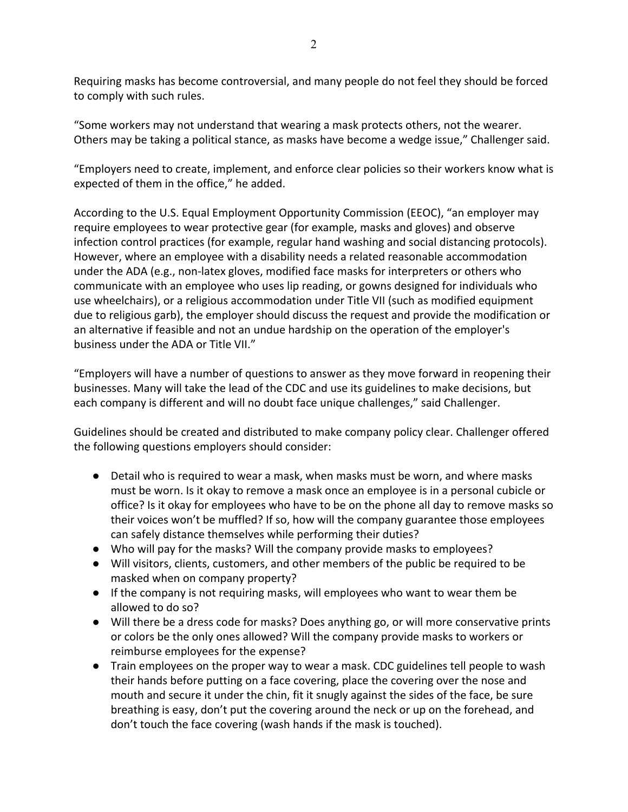Requiring masks has become controversial, and many people do not feel they should be forced to comply with such rules.

"Some workers may not understand that wearing a mask protects others, not the wearer. Others may be taking a political stance, as masks have become a wedge issue," Challenger said.

"Employers need to create, implement, and enforce clear policies so their workers know what is expected of them in the office," he added.

According to the U.S. Equal Employment Opportunity Commission (EEOC), "an employer may require employees to wear protective gear (for example, masks and gloves) and observe infection control practices (for example, regular hand washing and social distancing protocols). However, where an employee with a disability needs a related reasonable accommodation under the ADA (e.g., non-latex gloves, modified face masks for interpreters or others who communicate with an employee who uses lip reading, or gowns designed for individuals who use wheelchairs), or a religious accommodation under Title VII (such as modified equipment due to religious garb), the employer should discuss the request and provide the modification or an alternative if feasible and not an undue hardship on the operation of the employer's business under the ADA or Title VII."

"Employers will have a number of questions to answer as they move forward in reopening their businesses. Many will take the lead of the CDC and use its guidelines to make decisions, but each company is different and will no doubt face unique challenges," said Challenger.

Guidelines should be created and distributed to make company policy clear. Challenger offered the following questions employers should consider:

- Detail who is required to wear a mask, when masks must be worn, and where masks must be worn. Is it okay to remove a mask once an employee is in a personal cubicle or office? Is it okay for employees who have to be on the phone all day to remove masks so their voices won't be muffled? If so, how will the company guarantee those employees can safely distance themselves while performing their duties?
- Who will pay for the masks? Will the company provide masks to employees?
- Will visitors, clients, customers, and other members of the public be required to be masked when on company property?
- If the company is not requiring masks, will employees who want to wear them be allowed to do so?
- Will there be a dress code for masks? Does anything go, or will more conservative prints or colors be the only ones allowed? Will the company provide masks to workers or reimburse employees for the expense?
- Train employees on the proper way to wear a mask. CDC guidelines tell people to wash their hands before putting on a face covering, place the covering over the nose and mouth and secure it under the chin, fit it snugly against the sides of the face, be sure breathing is easy, don't put the covering around the neck or up on the forehead, and don't touch the face covering (wash hands if the mask is touched).